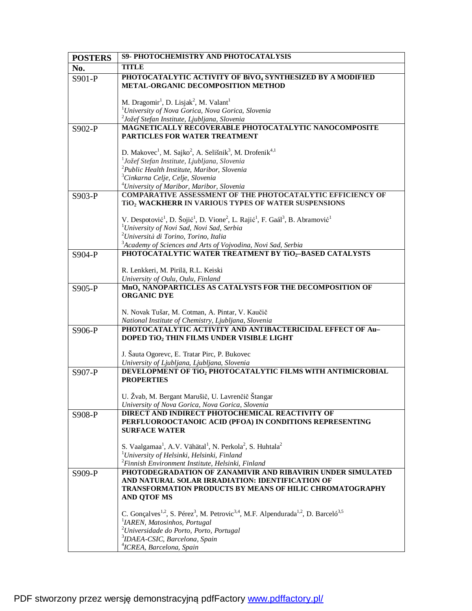| <b>POSTERS</b> | S9- PHOTOCHEMISTRY AND PHOTOCATALYSIS                                                                                                                 |
|----------------|-------------------------------------------------------------------------------------------------------------------------------------------------------|
| No.            | <b>TITLE</b>                                                                                                                                          |
| S901-P         | PHOTOCATALYTIC ACTIVITY OF BIVO <sub>4</sub> SYNTHESIZED BY A MODIFIED                                                                                |
|                | METAL-ORGANIC DECOMPOSITION METHOD                                                                                                                    |
|                |                                                                                                                                                       |
|                | M. Dragomir <sup>1</sup> , D. Lisjak <sup>2</sup> , M. Valant <sup>1</sup><br><sup>1</sup> University of Nova Gorica, Nova Gorica, Slovenia           |
|                | <sup>2</sup> Jožef Stefan Institute, Ljubljana, Slovenia                                                                                              |
| S902-P         | MAGNETICALLY RECOVERABLE PHOTOCATALYTIC NANOCOMPOSITE                                                                                                 |
|                | PARTICLES FOR WATER TREATMENT                                                                                                                         |
|                |                                                                                                                                                       |
|                | D. Makovec <sup>1</sup> , M. Sajko <sup>2</sup> , A. Selišnik <sup>3</sup> , M. Drofenik <sup>4,1</sup>                                               |
|                | <sup>1</sup> Jožef Stefan Institute, Ljubljana, Slovenia                                                                                              |
|                | <sup>2</sup> Public Health Institute, Maribor, Slovenia<br><sup>3</sup> Cinkarna Celje, Celje, Slovenia                                               |
|                | <sup>4</sup> University of Maribor, Maribor, Slovenia                                                                                                 |
| S903-P         | COMPARATIVE ASSESSMENT OF THE PHOTOCATALYTIC EFFICIENCY OF                                                                                            |
|                | TiO <sub>2</sub> WACKHERR IN VARIOUS TYPES OF WATER SUSPENSIONS                                                                                       |
|                |                                                                                                                                                       |
|                | V. Despotović <sup>1</sup> , D. Šojić <sup>1</sup> , D. Vione <sup>2</sup> , L. Rajić <sup>1</sup> , F. Gaál <sup>3</sup> , B. Abramović <sup>1</sup> |
|                | <sup>1</sup> University of Novi Sad, Novi Sad, Serbia                                                                                                 |
|                | <sup>2</sup> Università di Torino, Torino, Italia<br><sup>3</sup> Academy of Sciences and Arts of Vojvodina, Novi Sad, Serbia                         |
| S904-P         | PHOTOCATALYTIC WATER TREATMENT BY TiO2-BASED CATALYSTS                                                                                                |
|                |                                                                                                                                                       |
|                | R. Lenkkeri, M. Pirilä, R.L. Keiski                                                                                                                   |
|                | University of Oulu, Oulu, Finland                                                                                                                     |
| S905-P         | MnOx NANOPARTICLES AS CATALYSTS FOR THE DECOMPOSITION OF                                                                                              |
|                | <b>ORGANIC DYE</b>                                                                                                                                    |
|                | N. Novak Tušar, M. Cotman, A. Pintar, V. Kaučič                                                                                                       |
|                | National Institute of Chemistry, Ljubljana, Slovenia                                                                                                  |
| S906-P         | PHOTOCATALYTIC ACTIVITY AND ANTIBACTERICIDAL EFFECT OF Au-                                                                                            |
|                | DOPED TiO2 THIN FILMS UNDER VISIBLE LIGHT                                                                                                             |
|                | J. Šauta Ogorevc, E. Tratar Pirc, P. Bukovec                                                                                                          |
|                | University of Ljubljana, Ljubljana, Slovenia                                                                                                          |
| S907-P         | DEVELOPMENT OF TiO2 PHOTOCATALYTIC FILMS WITH ANTIMICROBIAL                                                                                           |
|                | <b>PROPERTIES</b>                                                                                                                                     |
|                |                                                                                                                                                       |
|                | U. Žvab, M. Bergant Marušič, U. Lavrenčič Štangar                                                                                                     |
|                | University of Nova Gorica, Nova Gorica, Slovenia<br><b>DIRECT AND INDIRECT PHOTOCHEMICAL REACTIVITY OF</b>                                            |
| S908-P         | PERFLUOROOCTANOIC ACID (PFOA) IN CONDITIONS REPRESENTING                                                                                              |
|                | <b>SURFACE WATER</b>                                                                                                                                  |
|                |                                                                                                                                                       |
|                | S. Vaalgamaa <sup>1</sup> , A.V. Vähätal <sup>1</sup> , N. Perkola <sup>2</sup> , S. Huhtala <sup>2</sup>                                             |
|                | <sup>1</sup> University of Helsinki, Helsinki, Finland                                                                                                |
|                | <sup>2</sup> Finnish Environment Institute, Helsinki, Finland<br>PHOTODEGRADATION OF ZANAMIVIR AND RIBAVIRIN UNDER SIMULATED                          |
| S909-P         | AND NATURAL SOLAR IRRADIATION: IDENTIFICATION OF                                                                                                      |
|                | <b>TRANSFORMATION PRODUCTS BY MEANS OF HILIC CHROMATOGRAPHY</b>                                                                                       |
|                | <b>AND QTOF MS</b>                                                                                                                                    |
|                |                                                                                                                                                       |
|                | C. Gonçalves <sup>1,2</sup> , S. Pérez <sup>3</sup> , M. Petrovic <sup>3,4</sup> , M.F. Alpendurada <sup>1,2</sup> , D. Barceló <sup>3,5</sup>        |
|                | <sup>1</sup> IAREN, Matosinhos, Portugal<br><sup>2</sup> Universidade do Porto, Porto, Portugal                                                       |
|                | <sup>3</sup> IDAEA-CSIC, Barcelona, Spain                                                                                                             |
|                | <sup>4</sup> ICREA, Barcelona, Spain                                                                                                                  |
|                |                                                                                                                                                       |